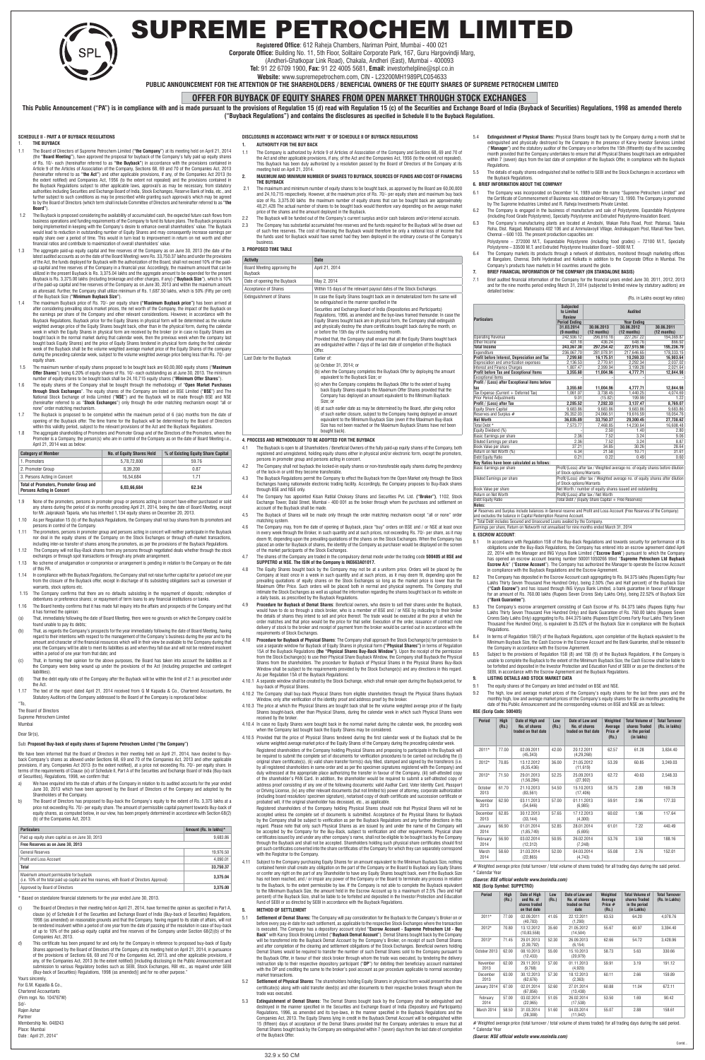# SUPREME PETROCHEM LIMITED

**Registered Office**: 612 Raheja Chambers, Nariman Point, Mumbai - 400 021 **Corporate Office:** Building No. 11, 5th Floor, Solitaire Corporate Park, 167, Guru Hargovindji Marg,

(Andheri-Ghatkopar Link Road), Chakala, Andheri (East), Mumbai - 400093

**Tel:** 91 22 6709 1900, **Fax:** 91 22 4005 5681, **Email:** investorhelpline@spl.co.in

**Website:** www.supremepetrochem.com, CIN - L23200MH1989PLC054633

**PUBLIC ANNOUNCEMENT FOR THE ATTENTION OF THE SHAREHOLDERS / BENEFICIAL OWNERS OF THE EQUITY SHARES OF SUPREME PETROCHEM LIMITED**

This Public Announcement ("PA") is in compliance with and is made pursuant to the provisions of Regulation 15 (d) read with Regulation 15 (c) of the Securities and Exchange Board of India (Buyback of Securities) Regulation **("Buyback Regulations") and contains the disclosures as specified in Schedule II to the Buyback Regulations.**

# **OFFER FOR BUYBACK OF EQUITY SHARES FROM OPEN MARKET THROUGH STOCK EXCHANGES**

## **SCHEDULE II - PART A OF BUYBACK REGULATIONS**

## 1. **THE BUYBACK**

- 1.1 The Board of Directors of Supreme Petrochem Limited (**"the Company"**) at its meeting held on April 21, 2014 (the **"Board Meeting"**), have approved the proposal for buyback of the Company's fully paid up equity shares of Rs. 10/- each (hereinafter referred to as **"the Buyback"**) in accordance with the provisions contained in Article 9 of the Articles of Association of the Company, Sections 68, 69 and 70 of the Companies Act, 2013 (hereinafter referred to as **"the Act"**) and other applicable provisions, if any, of the Companies Act 2013 (to the extent notified) and Companies Act, 1956 (to the extent not repealed) and the provisions contained in the Buyback Regulations subject to other applicable laws, approval/s as may be necessary, from statutory authorities including Securities and Exchange Board of India, Stock Exchanges, Reserve Bank of India, etc., and further subject to such conditions as may be prescribed while granting such approval/s which may be agreed<br>to by the Board of Directors (which term shall include Committee of Directors and hereinafter referred to as "**the Board"**).
- 1.2 The Buyback is proposed considering the availability of accumulated cash, the expected future cash flows from business operations and funding requirements of the Company to fund its future plans. The Buyback proposal is being implemented in keeping with the Company's desire to enhance overall shareholders' value. The Buyback would lead to reduction in outstanding number of Equity Shares and may consequently increase earnings per equity share over a period of time. This would in turn lead to improvement in return on net worth and other financial ratios and contribute to maximization of overall shareholders' value.
- 1.3 The aggregate paid-up equity capital and free reserves of the Company as on June 30, 2013 (the date of the latest audited accounts as on the date of the Board Meeting) were Rs. 33,750.37 lakhs and under the provisions<br>of the Act, the funds deployed for Buyback with the authorization of the Board, shall not exceed 10% of the pai up capital and free reserves of the Company in a financial year. Accordingly, the maximum amount that can be<br>utilized in the present Buyback is Rs. 3,375.04 lakhs and the aggregate amount to be expended for the present<br>Buy of the paid-up capital and free reserves of the Company as on June 30, 2013 and within the maximum amount as aforesaid. Further, the Company shall utilize minimum of Rs. 1,687.50 lakhs, which is 50% (Fifty per cent) of the Buyback Size (**"Minimum Buyback Size"**).
- 1.4 The maximum Buyback price of Rs. 70/- per equity share **("Maximum Buyback price")** has been arrived at after considering prevailing stock market prices, the net worth of the Company, the impact of the Buyback on the earnings per share of the Company and other relevant considerations. However, in accordance with the Buyback Regulations, Buyback price for the Equity Shares in physical form will be determined as the volume weighted average price of the Equity Shares bought back, other than in the physical form, during the calendar week in which the Equity Shares in physical form are received by the broker (or in case no Equity Shares are bought back in the normal market during that calendar week, then the previous week when the company last bought back Equity Shares) and the price of Equity Shares tendered in physical form during the first calendar week of the Buyback shall be the volume weighted average market price of the Equity Shares of the company during the preceding calendar week, subject to the volume weighted average price being less than Rs. 70/- per equity share.
- 1.5 The maximum number of equity shares proposed to be bought back are 60,00,000 equity shares ("**Maximum Offer Shares**") being 6.20% of equity shares of Rs. 10/- each outstanding as at June 30, 2013. The minimum number of equity shares to be bought back shall be 24,10,715 equity shares ("**Minimum Offer Shares**").
- 1.6 The equity shares of the Company shall be bought through the methodology of "**Open Market Purchases through Stock Exchanges**". The equity shares of the Company are listed on BSE Limited ("**BSE**") and The National Stock Exchange of India Limited ("**NSE**") and the Buyback will be made through BSE and NSE (hereinafter referred to as "**Stock Exchanges**") only through the order matching mechanism except "all or none" order matching mechanism.
- 1.7 The Buyback is proposed to be completed within the maximum period of 6 (six) months from the date of opening of the Buyback offer. The time frame for the Buyback will be determined by the Board of Directors within this validity period, subject to the relevant provisions of the Act and the Buyback Regulations.
- 1.8 The aggregate shareholding of Promoters and Promoter Group and of the Directors of the Promoters, where the Promoter is a Company, the person(s) who are in control of the Company as on the date of Board Meeting i.e., April 21, 2014 was as below:

| <b>Category of Member</b>                                                         | <b>No. of Equity Shares Held</b> | % of Existing Equity Share Capital |
|-----------------------------------------------------------------------------------|----------------------------------|------------------------------------|
| 1. Promoters                                                                      | 5.78.72.800                      | 59.76                              |
| 2. Promoter Group                                                                 | 8.39.200                         | 0.87                               |
| 3. Persons Acting in Concert                                                      | 16.54.684                        | 171                                |
| <b>Total of Promoters, Promoter Group and</b><br><b>Persons Acting in Concert</b> | 6.03.66.684                      | 62.34                              |

- 1.9 None of the promoters, persons in promoter group or persons acting in concert have either purchased or sold any shares during the period of six months preceding April 21, 2014, being the date of Board Meeting, except for Mr. Jaiprakash Taparia, who has inherited 1,134 equity shares on December 20, 2013.
- 1.10 As per Regulation 15 (b) of the Buyback Regulations, the Company shall not buy shares from its promoters and persons in control of the Company.
- 1.11 The promoters, persons in promoter group and persons acting in concert will neither participate in the Buyback nor deal in the equity shares of the Company on the Stock Exchanges or through off-market transactions, including inter-se transfer of shares among the promoters, as per the provisions of the Buyback Regulations.
- 1.12 The Company will not Buy-Back shares from any persons through negotiated deals whether through the stock exchanges or through spot transactions or through any private arrangement
- 1.13 No scheme of amalgamation or compromise or arrangement is pending in relation to the Company on the date of this PA.
- 1.14 In compliance with the Buyback Regulations, the Company shall not raise further capital for a period of one year<br>from the closure of the Buyback offer, except in discharge of its subsisting obligations such as convers warrants, stock options etc.
- 1.15 The Company confirms that there are no defaults subsisting in the repayment of deposits; redemption of debentures or preference shares; or repayment of term loans to any financial institutions or banks.
- 1.16 The Board hereby confirms that it has made full inquiry into the affairs and prospects of the Company and that it has formed the opinion:
- (a) That, immediately following the date of Board Meeting, there were no grounds on which the Company could be found unable to pay its debts;
- That, as regards the Company's prospects for the year immediately following the date of Board Meeting, having regard to their intentions with respect to the management of the Company's business during the year and to the amount and character of the financial resources which will in their view be available to the Company during that year, the Company will be able to meet its liabilities as and when they fall due and will not be rendered insolvent within a period of one year from that date; and
- 
- (c) That, in forming their opinion for the above purposes, the Board has taken into account the liabilities as if the Company were being wound up under the provisions of the Act (including prospective and contingent liabilities).
- (d) That the debt equity ratio of the Company after the Buyback will be within the limit of 2:1 as prescribed under the Act.
- 1.17 The text of the report dated April 21, 2014 received from G M Kapadia & Co., Chartered Accountants, the Statutory Auditors of the Company addressed to the Board of the Company is reproduced below:

"To,

The Board of Directors

Supreme Petrochem Limited

Mumba

Dear Sir(s),

#### Sub: **Proposed Buy-back of equity shares of Supreme Petrochem Limited ("the Company")**

We have been informed that the Board of Directors in their meeting held on April 21, 2014, have decided to Buyback Company's shares as allowed under Sections 68, 69 and 70 of the Companies Act, 2013 and other applicable provisions, if any, Companies Act 2013 (to the extent notified), at a price not exceeding Rs. 70/- per equity share. In terms of the requirements of Clause (xi) of Schedule II, Part A of the Securities and Exchange Board of India (Buy-back of Securities), Regulations, 1998, we confirm that:

- a) We have enquired into the state of affairs of the Company in relation to its audited accounts for the year ended June 30, 2013 which have been approved by the Board of Directors of the Company and adopted by the Shareholders of the Company.
- b) The Board of Directors has proposed to Buy-back the Company's equity to the extent of Rs. 3,375 lakhs at a price not exceeding Rs. 70/- per equity share. The amount of permissible capital payment towards Buy-back of equity shares, as computed below, in our view, has been properly determined in accordance with Section 68(2) (b) of the Companies Act, 2013:

| <b>Particulars</b>                                                                                                                    | Amount (Rs. In lakhs)* |
|---------------------------------------------------------------------------------------------------------------------------------------|------------------------|
| Paid up equity share capital as on June 30, 2013                                                                                      | 9.683.86               |
| Free Reserves as on June 30, 2013                                                                                                     |                        |
| <b>General Reserves</b>                                                                                                               | 19,976.50              |
| Profit and Loss Account                                                                                                               | 4,090.01               |
| <b>Total</b>                                                                                                                          | 33.750.37              |
| Maximum amount permissible for buyback<br>(i.e. 10% of the total paid up capital and free reserves, with Board of Directors Approval) | 3.375.04               |
| Approved by Board of Directors                                                                                                        | 3.375.00               |

\* Based on standalone financial statements for the year ended June 30, 2013.

- c) The Board of Directors in their meeting held on April 21, 2014, have formed the opinion as specified in Part A, clause (x) of Schedule II of the Securities and Exchange Board of India (Buy-back of Securities) Regulations 1998 (as amended) on reasonable grounds and that the Company, having regard to its state of affairs, will not be rendered insolvent within a period of one year from the date of passing of the resolution in case of buy-back of up to 10% of the paid-up equity capital and free reserves of the Company under Section 68(2)(b) of the Companies Act, 2013.
- d) This certificate has been prepared for and only for the Company in reference to proposed buy-back of Equity Shares approved by the Board of Directors of the Company at its meeting held on April 21, 2014, in pursuance of the provisions of Sections 68, 69 and 70 of the Companies Act, 2013, and other applicable provisions, if any, of the Companies Act, 2013 (to the extent notified) [including disclosing in the Public Announcement and submission to various Regulatory bodies such as SEBI, Stock Exchanges, RBI etc., as required under SEBI (Buy-back of Securities) Regulations, 1998 (as amended)] and for no other purpose."

Yours sincerely, For G.M. Kapadia & Co., **Chartered Accountant** (Firm regn. No. 104767W) Sd/- Rajen Ashar Partner Membership No. 048243 Place: Mumbai Date : April 21, 2014"

**DISCLOSURES IN ACCORDANCE WITH PART 'B' OF SCHEDULE II OF BUYBACK REGULATIONS**

# **1. AUTHORITY FOR THE BUY BACK**

- 5.4 **Extinguishment of Physical Shares:** Physical Shares bought back by the Company during a month shall be extinguished and physically destroyed by the Company in the presence of Karvy Investor Services Limited ("**Manager**") and the statutory auditor of the Company on or before the 15th (fifteenth) day of the succeeding month provided that the Company undertakes to ensure that all Physical Shares bought back are extinguished within 7 (seven) days from the last date of completion of the Buyback Offer, in compliance with the Buyback Regulations.
- 5.5 The details of equity shares extinguished shall be notified to SEBI and the Stock Exchanges in accordance with the Buyback Regulati
- 1.1 The Company is authorized by Article 9 of Articles of Association of the Company and Sections 68, 69 and 70 of the Act and other applicable provisions, if any, of the Act and the Companies Act, 1956 (to the extent not repealed). This Buyback has been duly authorized by a resolution passed by the Board of Directors of the Company at its meeting held on April 21, 2014.
- **2. MAXIMUM AND MINIMUM NUMBER OF SHARES TO BUYBACK, SOURCES OF FUNDS AND COST OF FINANCING THE BUYBACK**
- 2.1 The maximum and minimum number of equity shares to be bought back, as approved by the Board are 60,00,000 and 24,10,715 respectively. However, at the maximum price of Rs. 70/- per equity share and maximum buy back size of Rs. 3,375.00 lakhs the maximum number of equity shares that can be bought back are approximately 48,21,428 The actual number of shares to be bought back would therefore vary depending on the average market<br>price of the shares and the amount deployed in the Buyback.
- 2.2 The Buyback will be funded out of the Company's current surplus and/or cash balances and/or internal accruals.
- 2.3 The Company has substantial accumulated free reserves and the funds required for the Buyback will be drawn out of such free reserves. The cost of financing the Buyback would therefore be only a notional loss of income that the funds used for Buyback would have earned had they been deployed in the ordinary course of the Company's business.

## **3. PROPOSED TIME TABLE**

| <b>Activity</b>                        | <b>Date</b>                                                                                                                                                                                                                                                                                                                                                                  |
|----------------------------------------|------------------------------------------------------------------------------------------------------------------------------------------------------------------------------------------------------------------------------------------------------------------------------------------------------------------------------------------------------------------------------|
| Board Meeting approving the<br>Buyback | April 21, 2014                                                                                                                                                                                                                                                                                                                                                               |
| Date of opening the Buyback            | May 2, 2014                                                                                                                                                                                                                                                                                                                                                                  |
| Acceptance of Shares                   | Within 15 days of the relevant payout dates of the Stock Exchanges.                                                                                                                                                                                                                                                                                                          |
| <b>Extinguishment of Shares</b>        | In case the Equity Shares bought back are in dematerialized form the same will<br>be extinguished in the manner specified in the                                                                                                                                                                                                                                             |
|                                        | Securities and Exchange Board of India (Depositories and Participants)<br>Regulations, 1996, as amended and the bye-laws framed thereunder. In case the<br>Equity Shares bought back are in physical form, the Company shall extinguish<br>and physically destroy the share certificates bought back during the month, on<br>or before the 15th day of the succeeding month. |
|                                        | Provided that, the Company shall ensure that all the Equity Shares bought back<br>are extinguished within 7 days of the last date of completion of the Buyback<br>Offer.                                                                                                                                                                                                     |
| Last Date for the Buyback              | Earlier of:                                                                                                                                                                                                                                                                                                                                                                  |
|                                        | (a) October 31, 2014; or                                                                                                                                                                                                                                                                                                                                                     |
|                                        | (b) when the Company completes the Buyback Offer by deploying the amount<br>equivalent to the Buyback Size; or                                                                                                                                                                                                                                                               |
|                                        | (c) when the Company completes the Buyback Offer to the extent of buying<br>back Equity Shares equal to the Maximum Offer Shares provided that the<br>Company has deployed an amount equivalent to the Minimum Buyback<br>Size: or                                                                                                                                           |
|                                        | (d) at such earlier date as may be determined by the Board, after giving notice<br>of such earlier closure, subject to the Company having deployed an amount<br>equivalent to the Minimum Buyback Size (even if the Maximum Buy-Back<br>Size has not been reached or the Maximum Buyback Shares have not been<br>bought back).                                               |

Total Debt includes Secured and Unsecured Loans availed by the Company. Earnings per share, Return on Networth not annualised for nine months ended March 31, 2014

#### **4. PROCESS AND METHODOLOGY TO BE ADOPTED FOR THE BUYBACK**

- 8.1 In accordance with Regulation 15B of the Buy-Back Regulations and towards security for performance of its obligations under the Buy-Back Regulations, the Company has entered into an escrow agreement dated April 22, 2014 with the Manager and ING Vysya Bank Limited ("**Escrow Bank**") pursuant to which the Company has opened an escrow account bearing number 500011050266 titled "**Supreme Petrochem Ltd Buyback Escrow A/c**" ("**Escrow Account**"). The Company has authorized the Manager to operate the Escrow Account in compliance with the Buyback Regulations and the Escrow Agreement.
- 8.2 The Company has deposited in the Escrow Account cash aggregating to Rs. 84.375 lakhs (Rupees Eighty Four Lakhs Thirty Seven Thousand Five Hundred Only), being 2.50% (Two and Half percent) of the Buyback Size **("Cash Escrow")** and has issued through ING Vysya Bank Limited, a bank guarantee in favour of Manager for an amount of Rs. 760.00 lakhs (Rupees Seven Crores Sixty Lakhs Only), being 22.52% of Buyback Size **("Bank Guarantee")**.
- 8.3 The Company's escrow arrangement consisting of Cash Escrow of Rs. 84.375 lakhs (Rupees Eighty Four Lakhs Thirty Seven Thousand Five Hundred Only) and Bank Guarantee of Rs. 760.00 lakhs (Rupees Seven Crores Sixty Lakhs Only) aggregating to Rs. 844.375 lakhs (Rupees Eight Crores Forty Four Lakhs Thirty Seven Thousand Five Hundred Only), is equivalent to 25.02% of the Buyback Size in compliance with the Buyback Regulations.
- In terms of Regulation 15B(7) of the Buyback Regulations, upon completion of the Buyback equivalent to the Minimum Buyback Size, the Cash Escrow in the Escrow Account and the Bank Guarantee, shall be released to the Company in accordance with the Escrow Agreement.
- 8.5 Subject to the provisions of Regulation 15B (8) and 15B (9) of the Buyback Regulations, if the Company is



- The equity shares of the Company are listed and traded on BSE and NSE.
- 9.2 The high, low and average market prices of the Company's equity shares for the last three years and the monthly high, low and average market prices of the Company's equity shares for the six months preceding the date of this Public Announcement and the corresponding volumes on BSE and NSE are as follows:
- 4.1 The Buyback is open to all Shareholders / Beneficial Owners of the fully paid-up equity shares of the Company, both registered and unregistered, holding equity shares either in physical and/or electronic form, except the promoters, persons in promoter group and persons acting in concert.
- 4.2 The Company shall not buyback the locked-in equity shares or non-transferable equity shares during the pendency of the lock-in or until they become transferable.
- 4.3 The Buyback Regulations permit the Company to effect the Buyback from the Open Market only through the Stock Exchanges having nationwide electronic trading facility. Accordingly, the Company proposes to Buy-Back shares through BSE and NSE only.
- 4.4 The Company has appointed Kisan Ratilal Choksey Shares and Securities Pvt. Ltd. **("Broker")**, 1102, Stock Exchange Tower, Dalal Street, Mumbai - 400 001 as the broker through whom the purchases and settlement on account of the Buyback shall be made.
- 4.5 The Buyback of Shares will be made only through the order matching mechanism except "all or none" order matching system.
- 4.6 The Company may, from the date of opening of Buyback, place "buy" orders on BSE and / or NSE at least once in every week through the Broker, in such quantity and at such prices, not exceeding Rs. 70/- per share, as it may deem fit, depending upon the prevailing quotations of the shares on the Stock Exchanges. When the Company has placed an order for Buyback of shares, the identity of the Company as purchaser would be displayed on the screen of the market participants of the Stock Exchanges.
- 4.7 The shares of the Company are traded in the compulsory demat mode under the trading code **500405 at BSE and SUPPETRO at NSE. The ISIN of the Company is INE663A01017.**
- 4.8 The Equity Shares bought back by the Company may not be at a uniform price. Orders will be placed by the Company at least once in a week in such quantity and at such prices, as it may deem fit, depending upon the prevailing quotations of equity shares on the Stock Exchanges so long as the market price is lower than the Maximum Offer Price. Such orders will be placed both in normal and physical segments. The Company shall intimate the Stock Exchanges as well as upload the information regarding the shares bought back on its website on a daily basis, as prescribed by the Buyback Regulations.
- 4.9 **Procedure for Buyback of Demat Shares**: Beneficial owners, who desire to sell their shares under the Buyback, would have to do so through a stock broker, who is a member of BSE and / or NSE by indicating to their broker<br>the details of shares they intend to sell and price thereof. The trade would be executed at the price at which t order matches and that price would be the price for that seller. Execution of the order, issuance of contract note delivery of stock to the broker and receipt of payment from the broker would be carried out in accordance with the requirements of Stock Exchanges.
- 4.10 **Procedure for Buyback of Physical Shares**: The Company shall approach the Stock Exchange(s) for permission to use a separate window for Buyback of Equity Shares in physical form **("Physical Shares")** in terms of Regulation 15A of the Buyback Regulations **(the "Physical Shares Buy-Back Window")**. Upon the receipt of the permission from the Stock Exchange(s) to use their Physical Share Buyback Window, the Company shall Buyback the Physical Shares from the shareholders. The procedure for Buyback of Physical Shares in the Physical Shares Buy-Back Window shall be subject to the requirements provided by the Stock Exchange(s) and any directions in this regard. As per Regulation 15A of the Buyback Regulations:

- 4.10.1 A separate window shall be created by the Stock Exchange, which shall remain open during the Buyback period, for buy-back of Physical Shares.
- 4.10.2 The Company shall buy-back Physical Shares from eligible shareholders through the Physical Shares Buyback Window, only after verification of the identity proof and address proof by the broker.
- 4.10.3 The price at which the Physical Shares are bought back shall be the volume weighted average price of the Equity Shares bought-back, other than Physical Shares, during the calendar week in which such Physical Shares were received by the broker.
- 4.10.4 In case no Equity Shares were bought back in the normal market during the calendar week, the preceding week when the Company last bought back the Equity Shares may be considered.
- 4.10.5 Provided that the price of Physical Shares tendered during the first calendar week of the Buyback shall be the volume weighted average market price of the Equity Shares of the Company during the preceding calendar week. Registered shareholders of the Company holding Physical Shares and proposing to participate in the Buyback will be required to submit the complete set of documents for verification procedures to be carried out including the (i) original share certificate(s), (ii) valid share transfer form(s) duly filled, stamped and signed by the transferors (i.e. by all registered shareholders in same order and as per the specimen signatures registered with the Company) and duly witnessed at the appropriate place authorizing the transfer in favour of the Company, (iii) self-attested copy of the shareholder's PAN Card. In addition, the shareholder would be required to submit a self-attested copy of address proof consisting of any one of the following documents: valid Aadhar Card, Voter Identity Card, Passport or Driving License, (iv) any other relevant documents (but not limited to) power of attorney, corporate authorization (including board resolution/ specimen signature), notarised copy of death certificate and succession certificate or probated will, if the original shareholder has deceased, etc., as applicable.

 Registered shareholders of the Company holding Physical Shares should note that Physical Shares will not be accepted unless the complete set of documents is submitted. Acceptance of the Physical Shares for Buyback by the Company shall be subject to verification as per the Buyback Regulations and any further directions in this regard. Please note that only such Physical Shares as are issued by and under the name of the Company will be accepted by the Company for the Buy-Back, subject to verification and other requirements. Physical share certificates issued by and under any other company's name, shall not be eligible to be bought back by the Company through the Buyback and shall not be accepted. Shareholders holding such physical share certificates should first get such certificates converted into the share certificates of the Company for which they can separately correspond with the Registrar to the Company.

4.11 Subject to the Company purchasing Equity Shares for an amount equivalent to the Minimum Buyback Size, nothing contained herein shall create any obligation on the part of the Company or the Board to Buyback any Equity Shares<br>or confer any right on the part of any Shareholder to have any Equity Shares bought back, even if the Buybac has not been reached, and / or impair any power of the Company or the Board to terminate any process in relation to the Buyback, to the extent permissible by law. If the Company is not able to complete the Buyback equivalent to the Minimum Buyback Size, the amount held in the Escrow Account up to a maximum of 2.5% (Two and Half percent) of the Buyback Size, shall be liable to be forfeited and deposited in the Investor Protection and Education Fund of SEBI or as directed by SEBI in accordance with the Buyback Regulations.

#### **5. METHOD OF SETTLEMENT**

- 5.1 **Settlement of Demat Shares:** The Company will pay consideration for the Buyback to the Company's Broker on or before every pay-in date for each settlement, as applicable to the respective Stock Exchanges where the tran is executed. The Company has a depository account styled **"Escrow Account - Supreme Petrochem Ltd - Buy Back"** with Karvy Stock Broking Limited ("**Buyback Demat Account**"). Demat Shares bought back by the Company will be transferred into the Buyback Demat Account by the Company's Broker, on receipt of such Demat Shares and after completion of the clearing and settlement obligations of the Stock Exchanges. Beneficial owners holding Demat Shares would be required to transfer the number of such Demat Shares sold to the Company pursuant to the Buyback Offer, in favour of their stock broker through whom the trade was executed, by tendering the delivery instruction slip to their respective depository participant ("**DP**") for debiting their beneficiary account maintained with the DP and crediting the same to the broker's pool account as per procedure applicable to normal secondary market transactions.
- 5.2 **Settlement of Physical Shares**: The shareholders holding Equity Sharers in physical form would present the share certificate(s) along with valid transfer deed(s) and other documents to their respective brokers through whom the trade was executed.
- 5.3 **Extinguishment of Demat Shares**: The Demat Shares bought back by the Company shall be extinguished and destroyed in the manner specified in the Securities and Exchange Board of India (Depository and Participants) Regulations, 1996, as amended and its bye-laws, in the manner specified in the Buyback Regulations and the Companies Act, 2013. The Equity Shares lying in credit in the Buyback Demat Account will be extinguished within 15 (fifteen) days of acceptance of the Demat Shares provided that the Company undertakes to ensure that all Demat Shares bought back by the Company are extinguished within 7 (seven) days from the last date of completion of the Buyback Offer.

#### **6. BRIEF INFORMATION ABOUT THE COMPANY**

- 6.1 The Company was incorporated on December 14, 1989 under the name "Supreme Petrochem Limited" and the Certificate of Commencement of Business was obtained on February 13, 1990. The Company is promoted by The Supreme Industries Limited and R. Raheja Investments Private Limited.
- 6.2 The Company is engaged in the business of manufacture and sale of Polystyrene, Expandable Polystyrene (including Food Grade Polystyrene), Specialty Polystyrene and Extruded Polystyrene-Insulation Board.
- 6.3 The Company's manufacturing plants are located at Amdoshi, Wakan Roha Road, Post: Patansai, Taluka Roha, Dist. Raigad, Maharastra 402 106 and at Ammulavoyil Village, Andrakuppam Post, Manali New Town, Chennai – 600 103. The present production capacities are: Polystyrene – 272000 M.T., Expandable Polystyrene (including food grades) – 72100 M.T., Specialty
	- Polystyrene 33500 M.T. and Extruded Polystyrene Insulation Board 5000 M.T.
- 6.4 The Company markets its products through a network of distributors, monitored through marketing offices at Bangalore, Chennai, Delhi Hyderabad and Kolkatta in addition to the Corporate Office in Mumbai. The Company's products have markets in 94 countries around the globe.

#### **7. BRIEF FINANCIAL INFORMATION OF THE COMPANY (ON STANDALONE BASIS)**

7.1 Brief audited financial information of the Company for the financial years ended June 30, 2011, 2012, 2013 and for the nine months period ending March 31, 2014 (subjected to limited review by statutory auditors) are detailed below:

(Rs. in Lakhs except key ratios)

|                                                                                                                       | Subjected                                                                      |                                     |                |                                                                                 |  |  |
|-----------------------------------------------------------------------------------------------------------------------|--------------------------------------------------------------------------------|-------------------------------------|----------------|---------------------------------------------------------------------------------|--|--|
|                                                                                                                       | to Limited                                                                     |                                     | <b>Audited</b> |                                                                                 |  |  |
| <b>Particulars</b>                                                                                                    | <b>Review</b>                                                                  |                                     |                |                                                                                 |  |  |
|                                                                                                                       | <b>Period Ending</b>                                                           | <b>Year Ending</b>                  |                |                                                                                 |  |  |
|                                                                                                                       | 31.03.2014                                                                     | 30.06.2013                          | 30.06.2012     | 30.06.2011                                                                      |  |  |
|                                                                                                                       | (9 months)                                                                     | (12 months)                         | $(12$ months)  | (12 months)                                                                     |  |  |
| <b>Operating Revenue</b>                                                                                              | 242.936.12                                                                     | 296.818.18                          | 227,267.22     | 194,369.87                                                                      |  |  |
| Other Income                                                                                                          | 431.18                                                                         | 436.24                              | 648.76         | 866.92                                                                          |  |  |
| <b>Total Income</b>                                                                                                   | 243.367.30                                                                     | 297.254.42                          | 227.915.98     | 195.236.79                                                                      |  |  |
| Expenditure                                                                                                           | 236.067.70                                                                     | 281,078.91                          | 217.646.65     | 178,333.15                                                                      |  |  |
| Profit before Interest, Depreciation and Tax                                                                          | 7,299.60                                                                       | 16,175.51                           | 10,269.33      | 16,903.64                                                                       |  |  |
| Depreciation and amortization expenses                                                                                | 2,136.53                                                                       | 2,770.61                            | 2,292.34       | 2,037.02                                                                        |  |  |
| Interest and Finance Charges                                                                                          | 1,807.47                                                                       | 2,399.94                            | 3,199.28       | 2,021.64                                                                        |  |  |
| Profit before Tax and Exceptional Items                                                                               | 3,355.60                                                                       | 11,004.96                           | 4,777.71       | 12,844.98                                                                       |  |  |
| <b>Exceptional items</b>                                                                                              |                                                                                |                                     |                |                                                                                 |  |  |
| Profit / (Loss) after Exceptional items before                                                                        |                                                                                |                                     |                |                                                                                 |  |  |
| tax                                                                                                                   | 3.355.60                                                                       | 11.004.96                           | 4.777.71       | 12.844.98                                                                       |  |  |
| Tax Expense (Current + Deferred Tax)                                                                                  | 1,061.07                                                                       | 3,738.45                            | 1,440.25       | 4,074.69                                                                        |  |  |
| <b>Prior Period Adjustments</b>                                                                                       | 9.01                                                                           | (15.82)                             | 199.99         | 1.22                                                                            |  |  |
| Profit / (Loss) after Tax                                                                                             | 2.285.52                                                                       | 7.282.33                            | 3,137.47       | 8,769.07                                                                        |  |  |
| <b>Equity Share Capital</b>                                                                                           | 9,683.86                                                                       | 9,683.86                            | 9,683.86       | 9,683.86                                                                        |  |  |
| Reserves and Surplus #                                                                                                | 26,352.03                                                                      | 24,066.51                           | 19,616.59      | 18,054.76                                                                       |  |  |
| <b>Net Worth</b>                                                                                                      | 36.035.89                                                                      | 33,750.37                           | 29,300.45      | 27,738.62                                                                       |  |  |
| Total Debt *                                                                                                          | 7.573.77                                                                       | 7.468.85                            | 14.230.64      | 16.608.48                                                                       |  |  |
| Equity Dividend (%)                                                                                                   |                                                                                | 2.50                                | 1.40           | 2.80                                                                            |  |  |
| Basic Earnings per share                                                                                              | 2.36                                                                           | 7.52                                | 3.24           | 9.06                                                                            |  |  |
| Diluted Earnings per share                                                                                            | 2.36                                                                           | 7.52                                | 3.24           | 8.87                                                                            |  |  |
| Book Value per share                                                                                                  | 37.21                                                                          | 34.85                               | 30.26          | 28.64                                                                           |  |  |
| Return on Net Worth (%)                                                                                               | 6.34                                                                           | 21.58                               | 10.71          | 31.61                                                                           |  |  |
| Debt Equity Ratio                                                                                                     | 0.21                                                                           | 0.22                                | 0.49           | 0.60                                                                            |  |  |
| Key Ratios have been calculated as follows:                                                                           |                                                                                |                                     |                |                                                                                 |  |  |
| Basic Earnings per share                                                                                              |                                                                                |                                     |                | Profit/(Loss) after tax / Weighted average no. of equity shares before dilution |  |  |
|                                                                                                                       | of Stock options/Warrants                                                      |                                     |                |                                                                                 |  |  |
| Diluted Earnings per share                                                                                            | Profit/(Loss) after tax / Weighted average no. of equity shares after dilution |                                     |                |                                                                                 |  |  |
|                                                                                                                       | of Stock options/Warrants                                                      |                                     |                |                                                                                 |  |  |
| Book Value per share                                                                                                  | Net Worth / number of equity shares issued and outstanding                     |                                     |                |                                                                                 |  |  |
| Return on Net Worth                                                                                                   |                                                                                | Profit/(Loss) after tax / Net Worth |                |                                                                                 |  |  |
| Debt Equity Ratio                                                                                                     |                                                                                |                                     |                |                                                                                 |  |  |
| Total Debt / (Equity Share Capital + Free Reserves)<br>Notes:                                                         |                                                                                |                                     |                |                                                                                 |  |  |
| # Recerves and Surplus include belances in Ceneral reserve and Profit and Loss Account (Free Reserves of the Company) |                                                                                |                                     |                |                                                                                 |  |  |

# Reserves and Surplus include balances in General reserve and Profit and Loss Account (Free Reserves of the Company) and excludes the balance in Capital Redemption Reserve Account.

#### **8. ESCROW ACCOUNT**:

unable to complete the Buyback to the extent of the Minimum Buyback Size, the Cash Escrow shall be liable to be forfeited and deposited in the Investor Protection and Education Fund of SEBI or as per the directions of the SEBI, in accordance with the Escrow Agreement and the Buyback Regulations.

#### **9. LISTING DETAILS AND STOCK MARKET DATA**

#### **BSE (Scrip Code: 500405)**

| <b>Period</b>    | High<br>(Rs.) | Date of High and<br>No. of shares<br>traded on that date | Low<br>(Rs.) | Date of Low and<br>No. of shares<br>traded on that date | Weighted<br>Average<br>Price #<br>(Rs.) | <b>Total Volume of</b><br>shares Traded<br>in the period<br>(in lakhs) | <b>Total Turnover</b><br>(Rs. in lakhs) |
|------------------|---------------|----------------------------------------------------------|--------------|---------------------------------------------------------|-----------------------------------------|------------------------------------------------------------------------|-----------------------------------------|
| $2011*$          | 77.00         | 02.09.2011<br>(45, 343)                                  | 42.00        | 20.12.2011<br>(4, 29, 268)                              | 62.57                                   | 61.28                                                                  | 3,834.40                                |
| 2012*            | 70.85         | 13.12.2012<br>(6, 35, 436)                               | 36.00        | 21.05.2012<br>(11, 619)                                 | 53.39                                   | 60.85                                                                  | 3.249.03                                |
| $2013*$          | 71.50         | 29.01.2013<br>(1, 56, 284)                               | 52.25        | 25.09.2013<br>(27, 902)                                 | 62.72                                   | 40.63                                                                  | 2.548.33                                |
| October<br>2013  | 61.70         | 21.10.2013<br>(83, 561)                                  | 54.50        | 15.10.2013<br>(17, 406)                                 | 58.75                                   | 2.89                                                                   | 169.78                                  |
| November<br>2013 | 62.90         | 03.11.2013<br>(54, 646)                                  | 57.00        | 01.11.2013<br>(6,985)                                   | 59.91                                   | 2.96                                                                   | 177.33                                  |
| December<br>2013 | 62.85         | 30.12.2013<br>(33, 144)                                  | 57.65        | 17.12.2013<br>(4,300)                                   | 60.02                                   | 1.96                                                                   | 117.64                                  |
| January<br>2014  | 66.90         | 01.01.2014<br>(1, 85, 749)                               | 52.85        | 28.01.2014<br>(5,695)                                   | 61.01                                   | 7.22                                                                   | 440.49                                  |
| February<br>2014 | 56.90         | 03.02.2014<br>(12, 312)                                  | 50.95        | 26.02.2014<br>(7, 248)                                  | 53.76                                   | 3.50                                                                   | 188.16                                  |
| March<br>2014    | 58.60         | 31.03.2014<br>(22, 865)                                  | 52.00        | 04.03.2014<br>(4,743)                                   | 55.08                                   | 2.76                                                                   | 152.01                                  |

# Weighted average price (total turnover / total volume of shares traded) for all trading days during the said period.

\* Calendar Year

#### *(Source: BSE official website www.bseindia.com)*

#### **NSE (Scrip Symbol: SUPPETRO)**

| <b>Period</b>    | High<br>(Rs.) | Date of High<br>and No. of<br>shares traded<br>on that date | Low<br>(Rs.) | Date of Low and<br>No. of shares<br>traded on that<br>date | Weighted<br>Average<br>Price #<br>(Rs.) | <b>Total Volume of</b><br>shares Traded<br>in the period<br>(in Lakhs) | <b>Total Turnover</b><br>(Rs. In Lakhs) |
|------------------|---------------|-------------------------------------------------------------|--------------|------------------------------------------------------------|-----------------------------------------|------------------------------------------------------------------------|-----------------------------------------|
| $2011*$          | 77.00         | 02.09.2011<br>(40, 783)                                     | 41.05        | 22.12.2011<br>(1, 290)                                     | 63.53                                   | 64.20                                                                  | 4.078.76                                |
| $2012*$          | 70.80         | 13.12.2012<br>(10, 83, 558)                                 | 35.60        | 21.05.2012<br>(14, 504)                                    | 55.67                                   | 60.97                                                                  | 3.394.40                                |
| 2013*            | 71.45         | 29.01.2013<br>(2, 39, 792)                                  | 52.30        | 26.09.2013<br>(6, 154)                                     | 62.66                                   | 54.72                                                                  | 3.428.96                                |
| October 2013     | 62.00         | 08.10.2013<br>(12, 433)                                     | 55.00        | 15.10.2013<br>(20, 979)                                    | 58.73                                   | 5.63                                                                   | 330.66                                  |
| November<br>2013 | 62.00         | 29.11.2013<br>(9,768)                                       | 57.00        | 01.11.2013<br>(4,920)                                      | 59.91                                   | 3.19                                                                   | 191.12                                  |
| December<br>2013 | 63.00         | 30.12.2013<br>(62, 676)                                     | 57.30        | 18.12.2013<br>(2, 363)                                     | 60.11                                   | 2.66                                                                   | 159.89                                  |
| January 2014     | 67.00         | 02.01.2014<br>(67, 856)                                     | 52.60        | 27.01.2014<br>(13, 438)                                    | 60.88                                   | 11.04                                                                  | 672.11                                  |
| February<br>2014 | 57.00         | 03.02.2014<br>(22, 965)                                     | 51.05        | 26.02.2014<br>(17, 538)                                    | 53.50                                   | 1.69                                                                   | 90.42                                   |
| March 2014       | 58.50         | 31.03.2014<br>(28, 308)                                     | 51.60        | 04.03.2014<br>(11, 942)                                    | 55.07                                   | 2.88                                                                   | 158.61                                  |

# Weighted average price (total turnover / total volume of shares traded) for all trading days during the said period. \* Calendar Year

#### *(Source: NSE official website www.nseindia.com)*